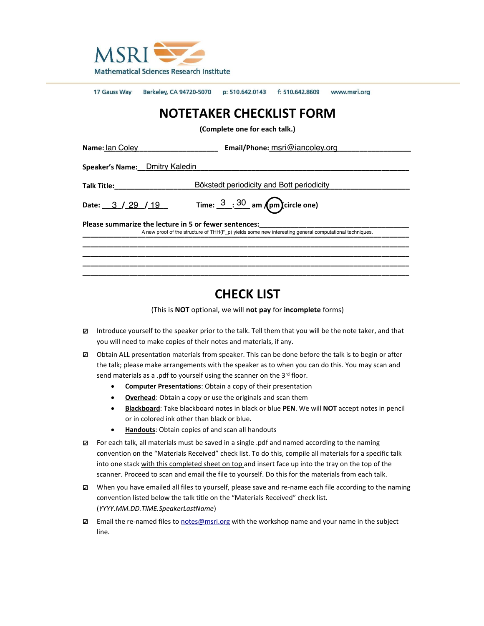

17 Gauss Way Berkeley, CA 94720-5070 p: 510.642.0143 f: 510.642.8609 www.msri.org

## **NOTETAKER CHECKLIST FORM**

**(Complete one for each talk.)**

| Name: Ian Coley                                                                                                                                                 | <b>Email/Phone:</b> msri@iancoley.org                    |
|-----------------------------------------------------------------------------------------------------------------------------------------------------------------|----------------------------------------------------------|
| <b>Speaker's Name:</b> Dmitry Kaledin                                                                                                                           |                                                          |
| <b>Talk Title:</b>                                                                                                                                              | Bökstedt periodicity and Bott periodicity                |
| Date: $3 / 29 / 19$                                                                                                                                             | Time: $\frac{3}{2}$ : $\frac{30}{2}$ am (pm) circle one) |
| Please summarize the lecture in 5 or fewer sentences:<br>A new proof of the structure of THH(F p) yields some new interesting general computational techniques. |                                                          |
|                                                                                                                                                                 |                                                          |

## **CHECK LIST**

(This is **NOT** optional, we will **not pay** for **incomplete** forms)

- □ Introduce yourself to the speaker prior to the talk. Tell them that you will be the note taker, and that you will need to make copies of their notes and materials, if any.
- $\boxtimes$  Obtain ALL presentation materials from speaker. This can be done before the talk is to begin or after the talk; please make arrangements with the speaker as to when you can do this. You may scan and send materials as a .pdf to yourself using the scanner on the 3<sup>rd</sup> floor.
	- **Computer Presentations**: Obtain a copy of their presentation
	- **•** Overhead: Obtain a copy or use the originals and scan them
	- x **Blackboard**: Take blackboard notes in black or blue **PEN**. We will **NOT** accept notes in pencil or in colored ink other than black or blue.
	- **Handouts**: Obtain copies of and scan all handouts
- $\boxtimes$  For each talk, all materials must be saved in a single .pdf and named according to the naming convention on the "Materials Received" check list. To do this, compile all materials for a specific talk into one stack with this completed sheet on top and insert face up into the tray on the top of the scanner. Proceed to scan and email the file to yourself. Do this for the materials from each talk.
- □ When you have emailed all files to yourself, please save and re-name each file according to the naming convention listed below the talk title on the "Materials Received" check list. (*YYYY.MM.DD.TIME.SpeakerLastName*)
- □ Email the re-named files to [notes@msri.org](mailto:notes@msri.org) with the workshop name and your name in the subject line.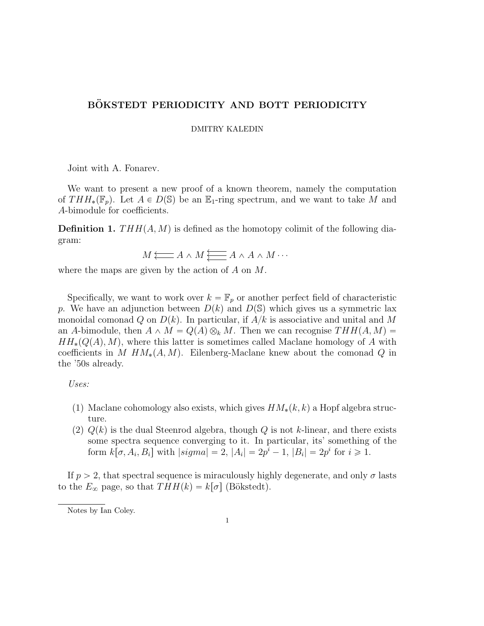## BÖKSTEDT PERIODICITY AND BOTT PERIODICITY

DMITRY KALEDIN

Joint with A. Fonarev.

We want to present a new proof of a known theorem, namely the computation of  $THH_*(\mathbb{F}_p)$ . Let  $A \in D(\mathbb{S})$  be an  $\mathbb{E}_1$ -ring spectrum, and we want to take M and A-bimodule for coefficients.

**Definition 1.**  $THH(A, M)$  is defined as the homotopy colimit of the following diagram:

*M A* o <sup>o</sup> ^ *M A* ^ *A* ^ *M* ¨¨¨ <sup>o</sup> o o

where the maps are given by the action of *A* on *M*.

Specifically, we want to work over  $k = \mathbb{F}_p$  or another perfect field of characteristic *p*. We have an adjunction between  $D(k)$  and  $D(\mathbb{S})$  which gives us a symmetric lax monoidal comonad *Q* on  $D(k)$ . In particular, if  $A/k$  is associative and unital and M an *A*-bimodule, then  $A \wedge M = Q(A) \otimes_k M$ . Then we can recognise  $THH(A, M) =$  $HH_*(Q(A), M)$ , where this latter is sometimes called Maclane homology of *A* with coefficients in *M*  $HM_*(A, M)$ . Eilenberg-Maclane knew about the comonad *Q* in the '50s already.

*Uses:*

- (1) Maclane cohomology also exists, which gives  $HM_*(k, k)$  a Hopf algebra structure.
- (2)  $Q(k)$  is the dual Steenrod algebra, though  $Q$  is not *k*-linear, and there exists some spectra sequence converging to it. In particular, its' something of the form  $k[\sigma, A_i, B_i]$  with  $|sigma| = 2$ ,  $|A_i| = 2p^i - 1$ ,  $|B_i| = 2p^i$  for  $i \ge 1$ .

If  $p > 2$ , that spectral sequence is miraculously highly degenerate, and only  $\sigma$  lasts to the  $E_{\infty}$  page, so that  $THH(k) = k[\sigma]$  (Bökstedt).

Notes by Ian Coley.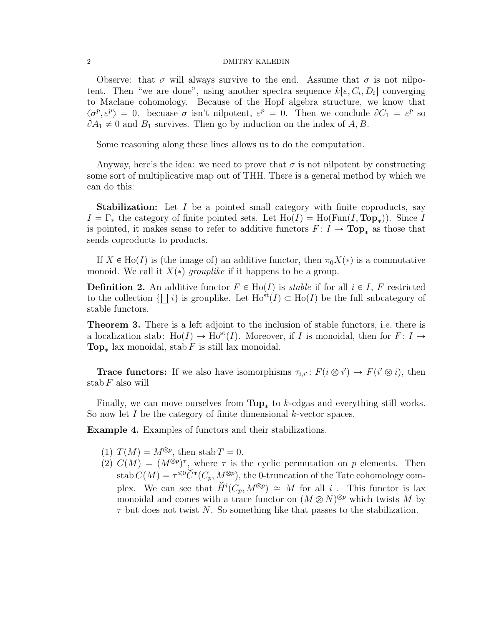## 2 DMITRY KALEDIN

Observe: that  $\sigma$  will always survive to the end. Assume that  $\sigma$  is not nilpotent. Then "we are done", using another spectra sequence  $k[\epsilon, C_i, D_i]$  converging to Maclane cohomology. Because of the Hopf algebra structure, we know that  $\langle \sigma^p, \varepsilon^p \rangle = 0$ . becuase  $\sigma$  isn't nilpotent,  $\varepsilon^p = 0$ . Then we conclude  $\partial C_1 = \varepsilon^p$  so  $\partial A_1 \neq 0$  and  $B_1$  survives. Then go by induction on the index of  $A, B$ .

Some reasoning along these lines allows us to do the computation.

Anyway, here's the idea: we need to prove that  $\sigma$  is not nilpotent by constructing some sort of multiplicative map out of THH. There is a general method by which we can do this:

**Stabilization:** Let *I* be a pointed small category with finite coproducts, say  $I = \Gamma_*$  the category of finite pointed sets. Let  $Ho(I) = Ho(Fun(I, Top_*))$ . Since *I* is pointed, it makes sense to refer to additive functors  $F: I \to \text{Top}_{*}$  as those that sends coproducts to products.

If  $X \in Ho(I)$  is (the image of) an additive functor, then  $\pi_0 X(*)$  is a commutative monoid. We call it  $X(*)$  *grouplike* if it happens to be a group.

**Definition 2.** An additive functor  $F \in Ho(I)$  is *stable* if for all  $i \in I$ , F restricted to the collection  $\{\prod i\}$  is grouplike. Let  $\text{Ho}^{\text{st}}(I) \subset \text{Ho}(I)$  be the full subcategory of stable functors.

Theorem 3. There is a left adjoint to the inclusion of stable functors, i.e. there is a localization stab:  $\text{Ho}(I) \to \text{Ho}^{\text{st}}(I)$ . Moreover, if *I* is monoidal, then for  $F: I \to$ **Top**<sub>\*</sub> lax monoidal, stab *F* is still lax monoidal.

**Trace functors:** If we also have isomorphisms  $\tau_{i,i'} : F(i \otimes i') \to F(i' \otimes i)$ , then stab *F* also will

Finally, we can move ourselves from  $\text{Top}_{*}$  to *k*-cdgas and everything still works. So now let *I* be the category of finite dimensional *k*-vector spaces.

Example 4. Examples of functors and their stabilizations.

- (1)  $T(M) = M^{\otimes p}$ , then stab  $T = 0$ .
- (2)  $C(M) = (M^{\otimes p})^{\tau}$ , where  $\tau$  is the cyclic permutation on p elements. Then stab  $C(M) = \tau^{\leq 0} \check{C}^*(C_p, M^{\otimes p})$ , the 0-truncation of the Tate cohomology complex. We can see that  $\check{H}^i(C_p, M^{\otimes p}) \cong M$  for all *i*. This functor is lax monoidal and comes with a trace functor on  $(M \otimes N)^{\otimes p}$  which twists *M* by  $\tau$  but does not twist *N*. So something like that passes to the stabilization.